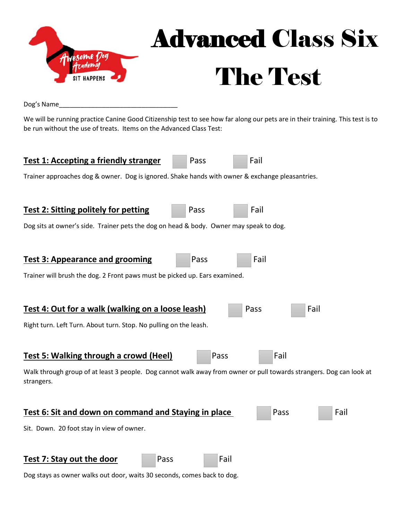

## Advanced Class Six The Test

Dog's Name\_\_\_\_\_\_\_\_\_\_\_\_\_\_\_\_\_\_\_\_\_\_\_\_\_\_\_\_\_\_\_\_\_

We will be running practice Canine Good Citizenship test to see how far along our pets are in their training. This test is to be run without the use of treats. Items on the Advanced Class Test:



Dog stays as owner walks out door, waits 30 seconds, comes back to dog.